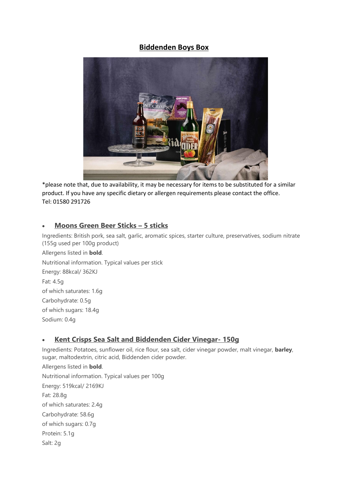# **Biddenden Boys Box**



\*please note that, due to availability, it may be necessary for items to be substituted for a similar product. If you have any specific dietary or allergen requirements please contact the office. Tel: 01580 291726

### • **Moons Green Beer Sticks – 5 sticks**

Ingredients: British pork, sea salt, garlic, aromatic spices, starter culture, preservatives, sodium nitrate (155g used per 100g product)

Allergens listed in **bold**. Nutritional information. Typical values per stick Energy: 88kcal/ 362KJ Fat: 4.5g of which saturates: 1.6g Carbohydrate: 0.5g of which sugars: 18.4g Sodium: 0.4g

# • **Kent Crisps Sea Salt and Biddenden Cider Vinegar- 150g**

Ingredients: Potatoes, sunflower oil, rice flour, sea salt, cider vinegar powder, malt vinegar, **barley**, sugar, maltodextrin, citric acid, Biddenden cider powder.

Allergens listed in **bold**. Nutritional information. Typical values per 100g Energy: 519kcal/ 2169KJ Fat: 28.8g of which saturates: 2.4g Carbohydrate: 58.6g of which sugars: 0.7g Protein: 5.1g Salt: 2g